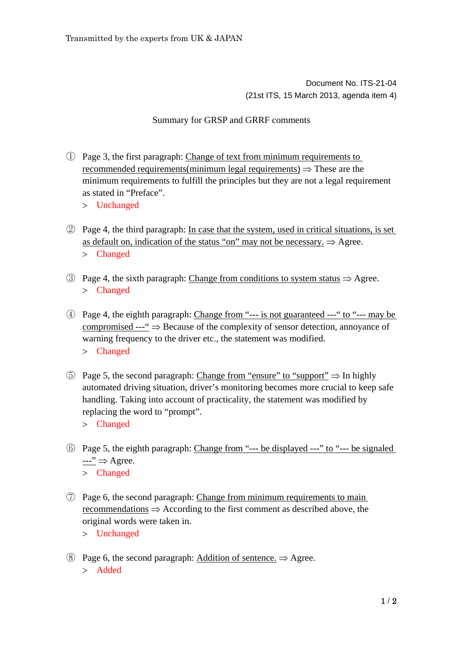Document No. ITS-21-04 (21st ITS, 15 March 2013, agenda item 4)

## Summary for GRSP and GRRF comments

- ① Page 3, the first paragraph: Change of text from minimum requirements to recommended requirements(minimum legal requirements)  $\Rightarrow$  These are the minimum requirements to fulfill the principles but they are not a legal requirement as stated in "Preface".
	- Unchanged
- ② Page 4, the third paragraph: In case that the system, used in critical situations, is set as default on, indication of the status "on" may not be necessary.  $\Rightarrow$  Agree. Changed
- $\circled{3}$  Page 4, the sixth paragraph: Change from conditions to system status  $\Rightarrow$  Agree. Changed
- ④ Page 4, the eighth paragraph: Change from "--- is not guaranteed ---" to "--- may be compromised  $-\rightarrow$  Because of the complexity of sensor detection, annoyance of warning frequency to the driver etc., the statement was modified. Changed
- $\circled{5}$  Page 5, the second paragraph: Change from "ensure" to "support"  $\Rightarrow$  In highly automated driving situation, driver's monitoring becomes more crucial to keep safe handling. Taking into account of practicality, the statement was modified by replacing the word to "prompt".
	- Changed
- ⑥ Page 5, the eighth paragraph: Change from "--- be displayed ---" to "--- be signaled  $\rightarrow$   $\rightarrow$  Agree. Changed
- ⑦ Page 6, the second paragraph: Change from minimum requirements to main recommendations  $\Rightarrow$  According to the first comment as described above, the original words were taken in.

Unchanged

(8) Page 6, the second paragraph: Addition of sentence.  $\Rightarrow$  Agree. > Added